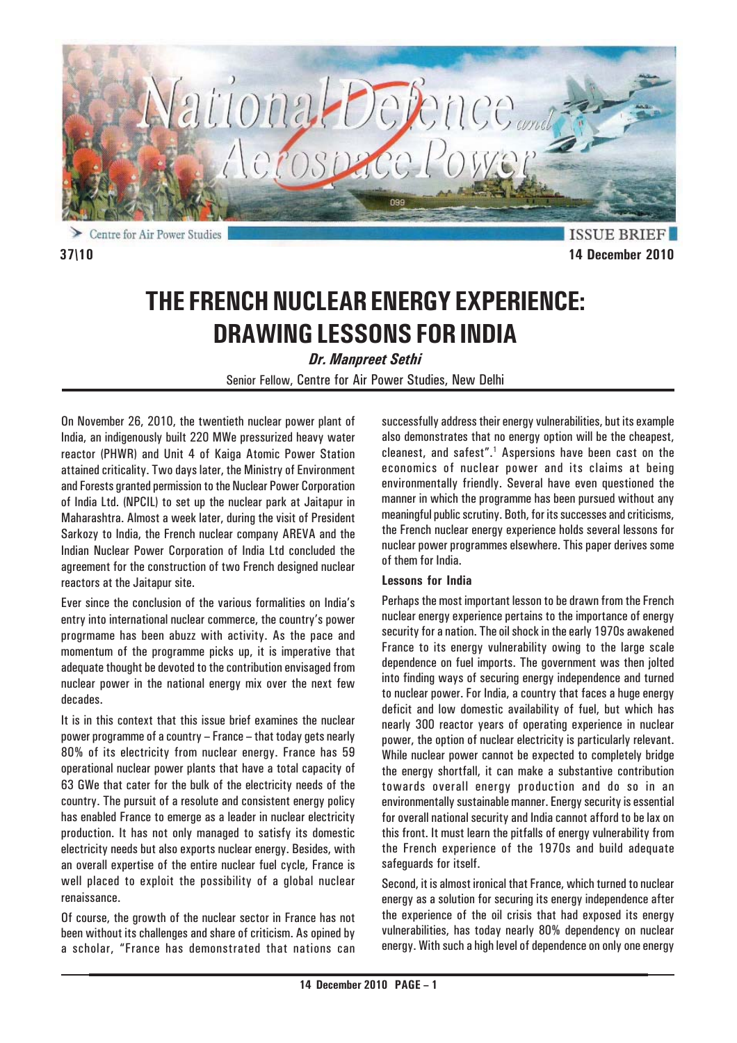

Centre for Air Power Studies

**ISSUE BRIEF 37\10 14 December 2010**

# **THE FRENCH NUCLEAR ENERGY EXPERIENCE: DRAWING LESSONS FOR INDIA**

*Dr. Manpreet Sethi*

Senior Fellow, Centre for Air Power Studies, New Delhi

On November 26, 2010, the twentieth nuclear power plant of India, an indigenously built 220 MWe pressurized heavy water reactor (PHWR) and Unit 4 of Kaiga Atomic Power Station attained criticality. Two days later, the Ministry of Environment and Forests granted permission to the Nuclear Power Corporation of India Ltd. (NPCIL) to set up the nuclear park at Jaitapur in Maharashtra. Almost a week later, during the visit of President Sarkozy to India, the French nuclear company AREVA and the Indian Nuclear Power Corporation of India Ltd concluded the agreement for the construction of two French designed nuclear reactors at the Jaitapur site.

Ever since the conclusion of the various formalities on India's entry into international nuclear commerce, the country's power progrmame has been abuzz with activity. As the pace and momentum of the programme picks up, it is imperative that adequate thought be devoted to the contribution envisaged from nuclear power in the national energy mix over the next few decades.

It is in this context that this issue brief examines the nuclear power programme of a country – France – that today gets nearly 80% of its electricity from nuclear energy. France has 59 operational nuclear power plants that have a total capacity of 63 GWe that cater for the bulk of the electricity needs of the country. The pursuit of a resolute and consistent energy policy has enabled France to emerge as a leader in nuclear electricity production. It has not only managed to satisfy its domestic electricity needs but also exports nuclear energy. Besides, with an overall expertise of the entire nuclear fuel cycle, France is well placed to exploit the possibility of a global nuclear renaissance.

Of course, the growth of the nuclear sector in France has not been without its challenges and share of criticism. As opined by a scholar, "France has demonstrated that nations can successfully address their energy vulnerabilities, but its example also demonstrates that no energy option will be the cheapest, cleanest, and safest".<sup>1</sup> Aspersions have been cast on the economics of nuclear power and its claims at being environmentally friendly. Several have even questioned the manner in which the programme has been pursued without any meaningful public scrutiny. Both, for its successes and criticisms, the French nuclear energy experience holds several lessons for nuclear power programmes elsewhere. This paper derives some of them for India.

### **Lessons for India**

Perhaps the most important lesson to be drawn from the French nuclear energy experience pertains to the importance of energy security for a nation. The oil shock in the early 1970s awakened France to its energy vulnerability owing to the large scale dependence on fuel imports. The government was then jolted into finding ways of securing energy independence and turned to nuclear power. For India, a country that faces a huge energy deficit and low domestic availability of fuel, but which has nearly 300 reactor years of operating experience in nuclear power, the option of nuclear electricity is particularly relevant. While nuclear power cannot be expected to completely bridge the energy shortfall, it can make a substantive contribution towards overall energy production and do so in an environmentally sustainable manner. Energy security is essential for overall national security and India cannot afford to be lax on this front. It must learn the pitfalls of energy vulnerability from the French experience of the 1970s and build adequate safeguards for itself.

Second, it is almost ironical that France, which turned to nuclear energy as a solution for securing its energy independence after the experience of the oil crisis that had exposed its energy vulnerabilities, has today nearly 80% dependency on nuclear energy. With such a high level of dependence on only one energy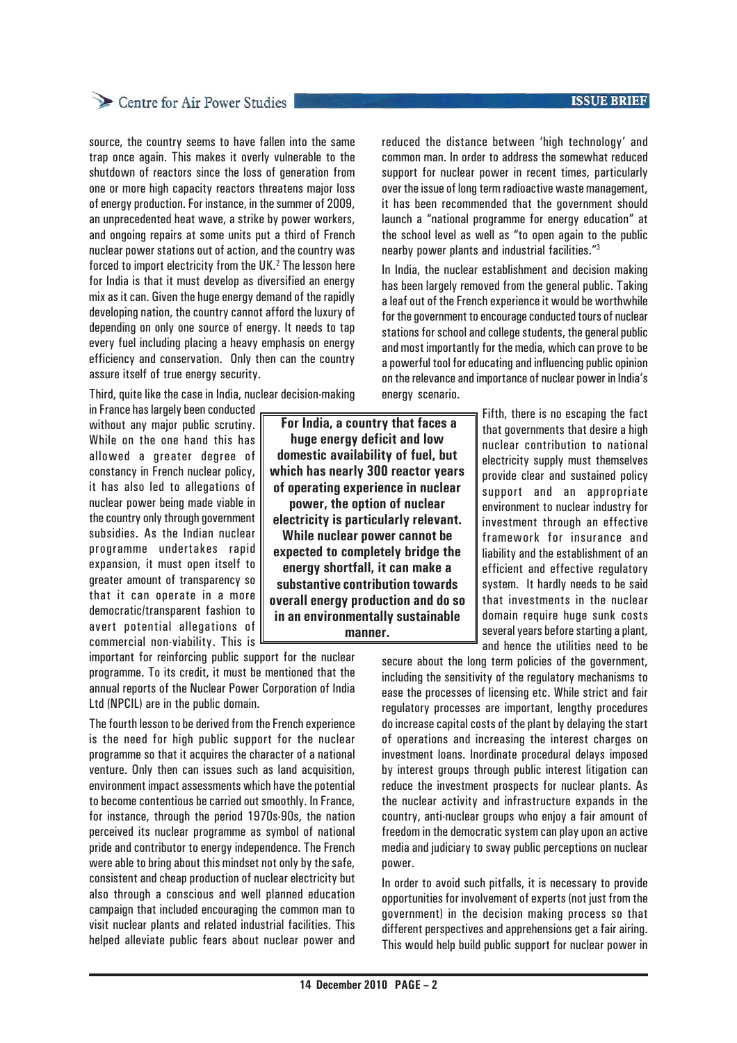## Centre for Air Power Studies

source, the country seems to have fallen into the same trap once again. This makes it overly vulnerable to the shutdown of reactors since the loss of generation from one or more high capacity reactors threatens major loss of energy production. For instance, in the summer of 2009, an unprecedented heat wave, a strike by power workers, and ongoing repairs at some units put a third of French nuclear power stations out of action, and the country was forced to import electricity from the UK.<sup>2</sup> The lesson here for India is that it must develop as diversified an energy mix as it can. Given the huge energy demand of the rapidly developing nation, the country cannot afford the luxury of depending on only one source of energy. It needs to tap every fuel including placing a heavy emphasis on energy efficiency and conservation. Only then can the country assure itself of true energy security.

Third, quite like the case in India, nuclear decision-making

in France has largely been conducted without any major public scrutiny. While on the one hand this has allowed a greater degree of constancy in French nuclear policy, it has also led to allegations of nuclear power being made viable in the country only through government subsidies. As the Indian nuclear programme undertakes rapid expansion, it must open itself to greater amount of transparency so that it can operate in a more democratic/transparent fashion to avert potential allegations of commercial non-viability. This is

important for reinforcing public support for the nuclear programme. To its credit, it must be mentioned that the annual reports of the Nuclear Power Corporation of India Ltd (NPCIL) are in the public domain.

The fourth lesson to be derived from the French experience is the need for high public support for the nuclear programme so that it acquires the character of a national venture. Only then can issues such as land acquisition, environment impact assessments which have the potential to become contentious be carried out smoothly. In France, for instance, through the period 1970s-90s, the nation perceived its nuclear programme as symbol of national pride and contributor to energy independence. The French were able to bring about this mindset not only by the safe, consistent and cheap production of nuclear electricity but also through a conscious and well planned education campaign that included encouraging the common man to visit nuclear plants and related industrial facilities. This helped alleviate public fears about nuclear power and

 **For India, a country that faces a huge energy deficit and low domestic availability of fuel, but which has nearly 300 reactor years of operating experience in nuclear power, the option of nuclear electricity is particularly relevant. While nuclear power cannot be expected to completely bridge the energy shortfall, it can make a substantive contribution towards overall energy production and do so in an environmentally sustainable manner.**

reduced the distance between 'high technology' and common man. In order to address the somewhat reduced support for nuclear power in recent times, particularly over the issue of long term radioactive waste management, it has been recommended that the government should launch a "national programme for energy education" at the school level as well as "to open again to the public nearby power plants and industrial facilities."3

In India, the nuclear establishment and decision making has been largely removed from the general public. Taking a leaf out of the French experience it would be worthwhile for the government to encourage conducted tours of nuclear stations for school and college students, the general public and most importantly for the media, which can prove to be a powerful tool for educating and influencing public opinion on the relevance and importance of nuclear power in India's energy scenario.

> Fifth, there is no escaping the fact that governments that desire a high nuclear contribution to national electricity supply must themselves provide clear and sustained policy support and an appropriate environment to nuclear industry for investment through an effective framework for insurance and liability and the establishment of an efficient and effective regulatory system. It hardly needs to be said that investments in the nuclear domain require huge sunk costs several years before starting a plant, and hence the utilities need to be

secure about the long term policies of the government, including the sensitivity of the regulatory mechanisms to ease the processes of licensing etc. While strict and fair regulatory processes are important, lengthy procedures do increase capital costs of the plant by delaying the start of operations and increasing the interest charges on investment loans. Inordinate procedural delays imposed by interest groups through public interest litigation can reduce the investment prospects for nuclear plants. As the nuclear activity and infrastructure expands in the country, anti-nuclear groups who enjoy a fair amount of freedom in the democratic system can play upon an active media and judiciary to sway public perceptions on nuclear power.

In order to avoid such pitfalls, it is necessary to provide opportunities for involvement of experts (not just from the government) in the decision making process so that different perspectives and apprehensions get a fair airing. This would help build public support for nuclear power in

#### **ISSUE BRIEF**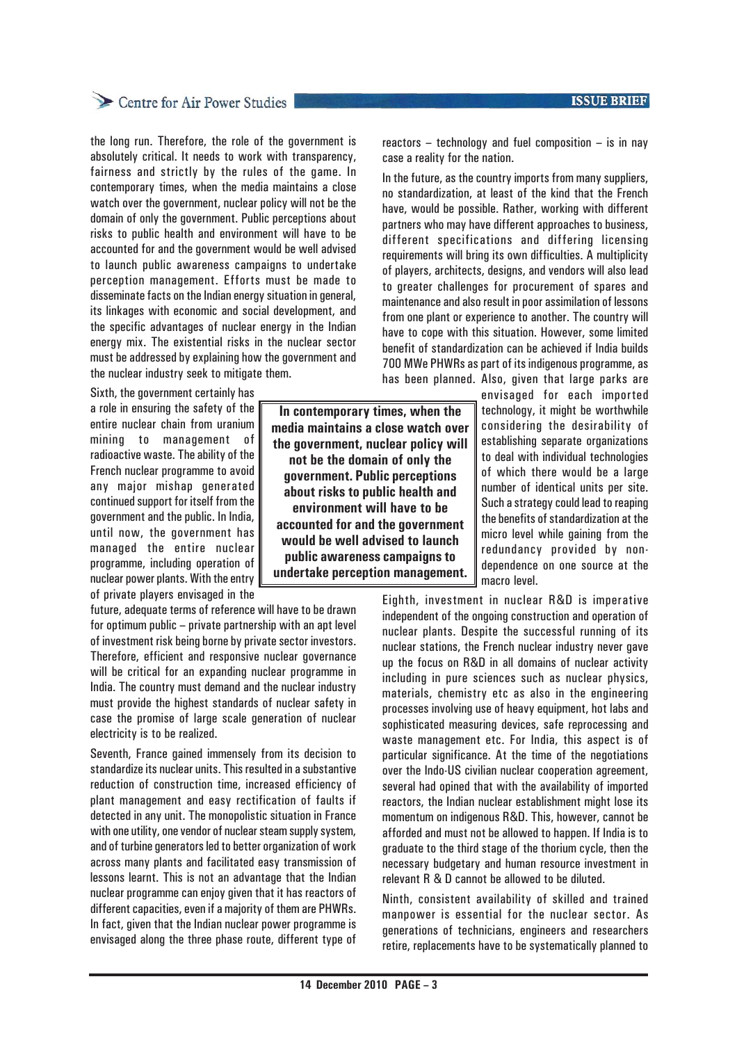## Centre for Air Power Studies

the long run. Therefore, the role of the government is absolutely critical. It needs to work with transparency, fairness and strictly by the rules of the game. In contemporary times, when the media maintains a close watch over the government, nuclear policy will not be the domain of only the government. Public perceptions about risks to public health and environment will have to be accounted for and the government would be well advised to launch public awareness campaigns to undertake perception management. Efforts must be made to disseminate facts on the Indian energy situation in general, its linkages with economic and social development, and the specific advantages of nuclear energy in the Indian energy mix. The existential risks in the nuclear sector must be addressed by explaining how the government and the nuclear industry seek to mitigate them.

Sixth, the government certainly has a role in ensuring the safety of the entire nuclear chain from uranium mining to management of radioactive waste. The ability of the French nuclear programme to avoid any major mishap generated continued support for itself from the government and the public. In India, until now, the government has managed the entire nuclear programme, including operation of nuclear power plants. With the entry of private players envisaged in the

future, adequate terms of reference will have to be drawn for optimum public – private partnership with an apt level of investment risk being borne by private sector investors. Therefore, efficient and responsive nuclear governance will be critical for an expanding nuclear programme in India. The country must demand and the nuclear industry must provide the highest standards of nuclear safety in case the promise of large scale generation of nuclear electricity is to be realized.

Seventh, France gained immensely from its decision to standardize its nuclear units. This resulted in a substantive reduction of construction time, increased efficiency of plant management and easy rectification of faults if detected in any unit. The monopolistic situation in France with one utility, one vendor of nuclear steam supply system, and of turbine generators led to better organization of work across many plants and facilitated easy transmission of lessons learnt. This is not an advantage that the Indian nuclear programme can enjoy given that it has reactors of different capacities, even if a majority of them are PHWRs. In fact, given that the Indian nuclear power programme is envisaged along the three phase route, different type of **ISSUE BRIEF** 

reactors – technology and fuel composition – is in nay case a reality for the nation.

In the future, as the country imports from many suppliers, no standardization, at least of the kind that the French have, would be possible. Rather, working with different partners who may have different approaches to business, different specifications and differing licensing requirements will bring its own difficulties. A multiplicity of players, architects, designs, and vendors will also lead to greater challenges for procurement of spares and maintenance and also result in poor assimilation of lessons from one plant or experience to another. The country will have to cope with this situation. However, some limited benefit of standardization can be achieved if India builds 700 MWe PHWRs as part of its indigenous programme, as has been planned. Also, given that large parks are

envisaged for each imported technology, it might be worthwhile considering the desirability of establishing separate organizations to deal with individual technologies of which there would be a large number of identical units per site. Such a strategy could lead to reaping the benefits of standardization at the micro level while gaining from the redundancy provided by nondependence on one source at the macro level.

Eighth, investment in nuclear R&D is imperative independent of the ongoing construction and operation of nuclear plants. Despite the successful running of its nuclear stations, the French nuclear industry never gave up the focus on R&D in all domains of nuclear activity including in pure sciences such as nuclear physics, materials, chemistry etc as also in the engineering processes involving use of heavy equipment, hot labs and sophisticated measuring devices, safe reprocessing and waste management etc. For India, this aspect is of particular significance. At the time of the negotiations over the Indo-US civilian nuclear cooperation agreement, several had opined that with the availability of imported reactors, the Indian nuclear establishment might lose its momentum on indigenous R&D. This, however, cannot be afforded and must not be allowed to happen. If India is to graduate to the third stage of the thorium cycle, then the necessary budgetary and human resource investment in relevant R & D cannot be allowed to be diluted.

Ninth, consistent availability of skilled and trained manpower is essential for the nuclear sector. As generations of technicians, engineers and researchers retire, replacements have to be systematically planned to

**In contemporary times, when the media maintains a close watch over the government, nuclear policy will not be the domain of only the government. Public perceptions about risks to public health and environment will have to be accounted for and the government would be well advised to launch public awareness campaigns to undertake perception management.**